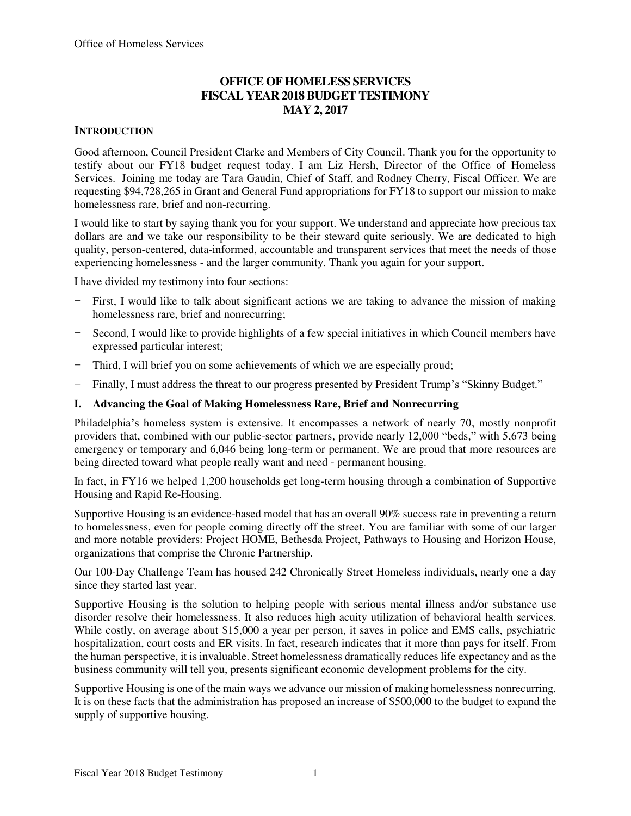# **OFFICE OF HOMELESS SERVICES FISCAL YEAR 2018 BUDGET TESTIMONY MAY 2, 2017**

# **INTRODUCTION**

Good afternoon, Council President Clarke and Members of City Council. Thank you for the opportunity to testify about our FY18 budget request today. I am Liz Hersh, Director of the Office of Homeless Services. Joining me today are Tara Gaudin, Chief of Staff, and Rodney Cherry, Fiscal Officer. We are requesting \$94,728,265 in Grant and General Fund appropriations for FY18 to support our mission to make homelessness rare, brief and non-recurring.

I would like to start by saying thank you for your support. We understand and appreciate how precious tax dollars are and we take our responsibility to be their steward quite seriously. We are dedicated to high quality, person-centered, data-informed, accountable and transparent services that meet the needs of those experiencing homelessness - and the larger community. Thank you again for your support.

I have divided my testimony into four sections:

- First, I would like to talk about significant actions we are taking to advance the mission of making homelessness rare, brief and nonrecurring;
- Second, I would like to provide highlights of a few special initiatives in which Council members have expressed particular interest;
- Third, I will brief you on some achievements of which we are especially proud;
- Finally, I must address the threat to our progress presented by President Trump's "Skinny Budget."

### **I. Advancing the Goal of Making Homelessness Rare, Brief and Nonrecurring**

Philadelphia's homeless system is extensive. It encompasses a network of nearly 70, mostly nonprofit providers that, combined with our public-sector partners, provide nearly 12,000 "beds," with 5,673 being emergency or temporary and 6,046 being long-term or permanent. We are proud that more resources are being directed toward what people really want and need - permanent housing.

In fact, in FY16 we helped 1,200 households get long-term housing through a combination of Supportive Housing and Rapid Re-Housing.

Supportive Housing is an evidence-based model that has an overall 90% success rate in preventing a return to homelessness, even for people coming directly off the street. You are familiar with some of our larger and more notable providers: Project HOME, Bethesda Project, Pathways to Housing and Horizon House, organizations that comprise the Chronic Partnership.

Our 100-Day Challenge Team has housed 242 Chronically Street Homeless individuals, nearly one a day since they started last year.

Supportive Housing is the solution to helping people with serious mental illness and/or substance use disorder resolve their homelessness. It also reduces high acuity utilization of behavioral health services. While costly, on average about \$15,000 a year per person, it saves in police and EMS calls, psychiatric hospitalization, court costs and ER visits. In fact, research indicates that it more than pays for itself. From the human perspective, it is invaluable. Street homelessness dramatically reduces life expectancy and as the business community will tell you, presents significant economic development problems for the city.

Supportive Housing is one of the main ways we advance our mission of making homelessness nonrecurring. It is on these facts that the administration has proposed an increase of \$500,000 to the budget to expand the supply of supportive housing.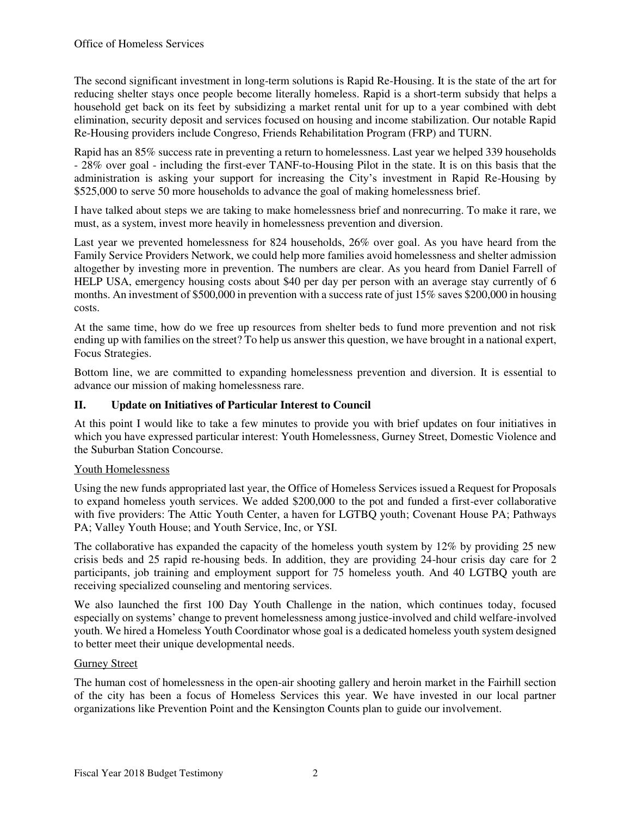The second significant investment in long-term solutions is Rapid Re-Housing. It is the state of the art for reducing shelter stays once people become literally homeless. Rapid is a short-term subsidy that helps a household get back on its feet by subsidizing a market rental unit for up to a year combined with debt elimination, security deposit and services focused on housing and income stabilization. Our notable Rapid Re-Housing providers include Congreso, Friends Rehabilitation Program (FRP) and TURN.

Rapid has an 85% success rate in preventing a return to homelessness. Last year we helped 339 households - 28% over goal - including the first-ever TANF-to-Housing Pilot in the state. It is on this basis that the administration is asking your support for increasing the City's investment in Rapid Re-Housing by \$525,000 to serve 50 more households to advance the goal of making homelessness brief.

I have talked about steps we are taking to make homelessness brief and nonrecurring. To make it rare, we must, as a system, invest more heavily in homelessness prevention and diversion.

Last year we prevented homelessness for 824 households, 26% over goal. As you have heard from the Family Service Providers Network, we could help more families avoid homelessness and shelter admission altogether by investing more in prevention. The numbers are clear. As you heard from Daniel Farrell of HELP USA, emergency housing costs about \$40 per day per person with an average stay currently of 6 months. An investment of \$500,000 in prevention with a success rate of just 15% saves \$200,000 in housing costs.

At the same time, how do we free up resources from shelter beds to fund more prevention and not risk ending up with families on the street? To help us answer this question, we have brought in a national expert, Focus Strategies.

Bottom line, we are committed to expanding homelessness prevention and diversion. It is essential to advance our mission of making homelessness rare.

# **II. Update on Initiatives of Particular Interest to Council**

At this point I would like to take a few minutes to provide you with brief updates on four initiatives in which you have expressed particular interest: Youth Homelessness, Gurney Street, Domestic Violence and the Suburban Station Concourse.

## Youth Homelessness

Using the new funds appropriated last year, the Office of Homeless Services issued a Request for Proposals to expand homeless youth services. We added \$200,000 to the pot and funded a first-ever collaborative with five providers: The Attic Youth Center, a haven for LGTBQ youth; Covenant House PA; Pathways PA; Valley Youth House; and Youth Service, Inc, or YSI.

The collaborative has expanded the capacity of the homeless youth system by 12% by providing 25 new crisis beds and 25 rapid re-housing beds. In addition, they are providing 24-hour crisis day care for 2 participants, job training and employment support for 75 homeless youth. And 40 LGTBQ youth are receiving specialized counseling and mentoring services.

We also launched the first 100 Day Youth Challenge in the nation, which continues today, focused especially on systems' change to prevent homelessness among justice-involved and child welfare-involved youth. We hired a Homeless Youth Coordinator whose goal is a dedicated homeless youth system designed to better meet their unique developmental needs.

#### Gurney Street

The human cost of homelessness in the open-air shooting gallery and heroin market in the Fairhill section of the city has been a focus of Homeless Services this year. We have invested in our local partner organizations like Prevention Point and the Kensington Counts plan to guide our involvement.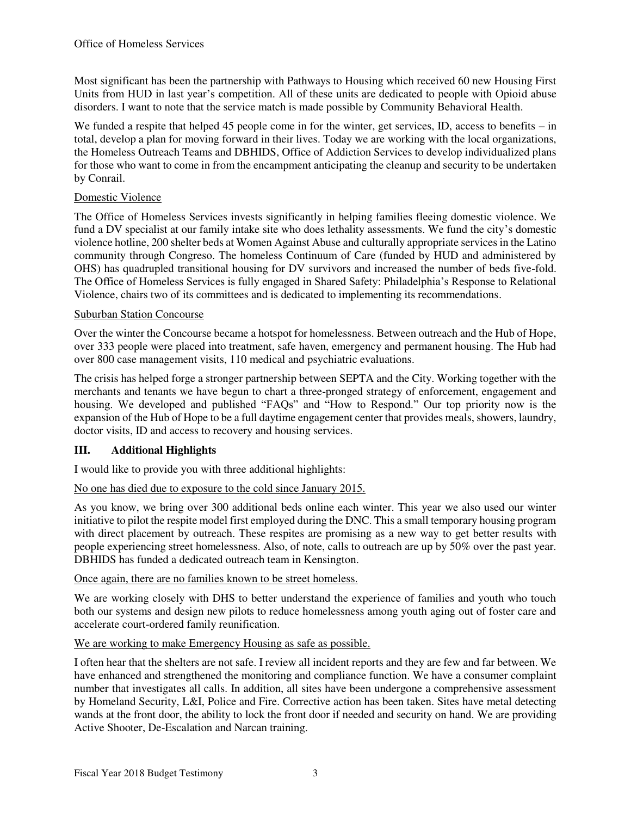Most significant has been the partnership with Pathways to Housing which received 60 new Housing First Units from HUD in last year's competition. All of these units are dedicated to people with Opioid abuse disorders. I want to note that the service match is made possible by Community Behavioral Health.

We funded a respite that helped 45 people come in for the winter, get services, ID, access to benefits – in total, develop a plan for moving forward in their lives. Today we are working with the local organizations, the Homeless Outreach Teams and DBHIDS, Office of Addiction Services to develop individualized plans for those who want to come in from the encampment anticipating the cleanup and security to be undertaken by Conrail.

## Domestic Violence

The Office of Homeless Services invests significantly in helping families fleeing domestic violence. We fund a DV specialist at our family intake site who does lethality assessments. We fund the city's domestic violence hotline, 200 shelter beds at Women Against Abuse and culturally appropriate services in the Latino community through Congreso. The homeless Continuum of Care (funded by HUD and administered by OHS) has quadrupled transitional housing for DV survivors and increased the number of beds five-fold. The Office of Homeless Services is fully engaged in Shared Safety: Philadelphia's Response to Relational Violence, chairs two of its committees and is dedicated to implementing its recommendations.

#### Suburban Station Concourse

Over the winter the Concourse became a hotspot for homelessness. Between outreach and the Hub of Hope, over 333 people were placed into treatment, safe haven, emergency and permanent housing. The Hub had over 800 case management visits, 110 medical and psychiatric evaluations.

The crisis has helped forge a stronger partnership between SEPTA and the City. Working together with the merchants and tenants we have begun to chart a three-pronged strategy of enforcement, engagement and housing. We developed and published "FAQs" and "How to Respond." Our top priority now is the expansion of the Hub of Hope to be a full daytime engagement center that provides meals, showers, laundry, doctor visits, ID and access to recovery and housing services.

## **III. Additional Highlights**

I would like to provide you with three additional highlights:

#### No one has died due to exposure to the cold since January 2015.

As you know, we bring over 300 additional beds online each winter. This year we also used our winter initiative to pilot the respite model first employed during the DNC. This a small temporary housing program with direct placement by outreach. These respites are promising as a new way to get better results with people experiencing street homelessness. Also, of note, calls to outreach are up by 50% over the past year. DBHIDS has funded a dedicated outreach team in Kensington.

#### Once again, there are no families known to be street homeless.

We are working closely with DHS to better understand the experience of families and youth who touch both our systems and design new pilots to reduce homelessness among youth aging out of foster care and accelerate court-ordered family reunification.

#### We are working to make Emergency Housing as safe as possible.

I often hear that the shelters are not safe. I review all incident reports and they are few and far between. We have enhanced and strengthened the monitoring and compliance function. We have a consumer complaint number that investigates all calls. In addition, all sites have been undergone a comprehensive assessment by Homeland Security, L&I, Police and Fire. Corrective action has been taken. Sites have metal detecting wands at the front door, the ability to lock the front door if needed and security on hand. We are providing Active Shooter, De-Escalation and Narcan training.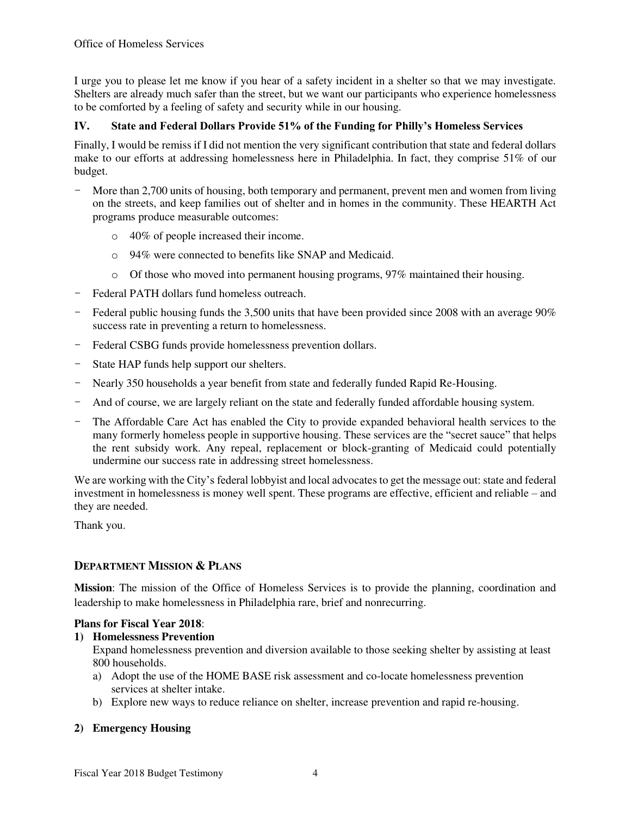I urge you to please let me know if you hear of a safety incident in a shelter so that we may investigate. Shelters are already much safer than the street, but we want our participants who experience homelessness to be comforted by a feeling of safety and security while in our housing.

## **IV. State and Federal Dollars Provide 51% of the Funding for Philly's Homeless Services**

Finally, I would be remiss if I did not mention the very significant contribution that state and federal dollars make to our efforts at addressing homelessness here in Philadelphia. In fact, they comprise 51% of our budget.

- More than 2,700 units of housing, both temporary and permanent, prevent men and women from living on the streets, and keep families out of shelter and in homes in the community. These HEARTH Act programs produce measurable outcomes:
	- o 40% of people increased their income.
	- o 94% were connected to benefits like SNAP and Medicaid.
	- $\circ$  Of those who moved into permanent housing programs, 97% maintained their housing.
- Federal PATH dollars fund homeless outreach.
- Federal public housing funds the 3,500 units that have been provided since 2008 with an average 90% success rate in preventing a return to homelessness.
- Federal CSBG funds provide homelessness prevention dollars.
- State HAP funds help support our shelters.
- Nearly 350 households a year benefit from state and federally funded Rapid Re-Housing.
- And of course, we are largely reliant on the state and federally funded affordable housing system.
- The Affordable Care Act has enabled the City to provide expanded behavioral health services to the many formerly homeless people in supportive housing. These services are the "secret sauce" that helps the rent subsidy work. Any repeal, replacement or block-granting of Medicaid could potentially undermine our success rate in addressing street homelessness.

We are working with the City's federal lobbyist and local advocates to get the message out: state and federal investment in homelessness is money well spent. These programs are effective, efficient and reliable – and they are needed.

Thank you.

## **DEPARTMENT MISSION & PLANS**

**Mission**: The mission of the Office of Homeless Services is to provide the planning, coordination and leadership to make homelessness in Philadelphia rare, brief and nonrecurring.

## **Plans for Fiscal Year 2018**:

## **1) Homelessness Prevention**

Expand homelessness prevention and diversion available to those seeking shelter by assisting at least 800 households.

- a) Adopt the use of the HOME BASE risk assessment and co-locate homelessness prevention services at shelter intake.
- b) Explore new ways to reduce reliance on shelter, increase prevention and rapid re-housing.

## **2) Emergency Housing**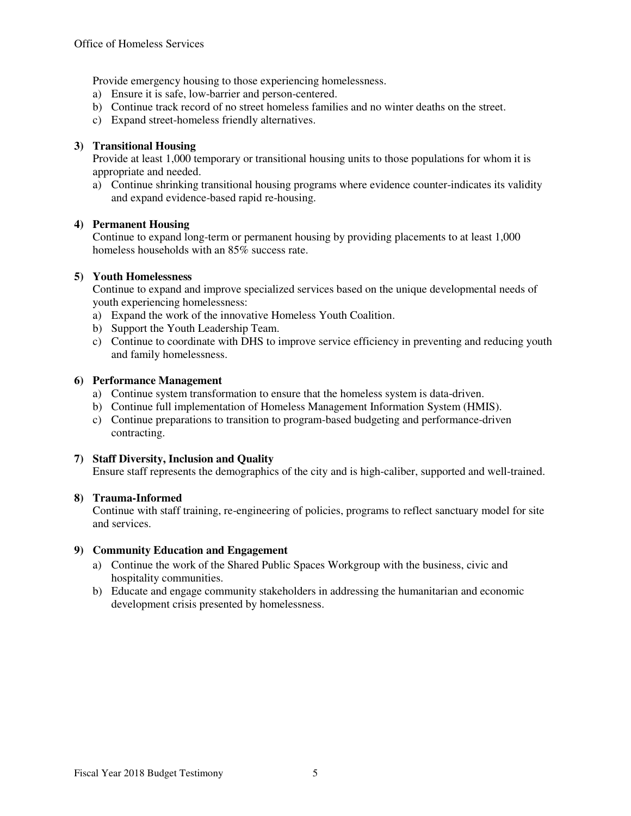Provide emergency housing to those experiencing homelessness.

- a) Ensure it is safe, low-barrier and person-centered.
- b) Continue track record of no street homeless families and no winter deaths on the street.
- c) Expand street-homeless friendly alternatives.

#### **3) Transitional Housing**

Provide at least 1,000 temporary or transitional housing units to those populations for whom it is appropriate and needed.

a) Continue shrinking transitional housing programs where evidence counter-indicates its validity and expand evidence-based rapid re-housing.

#### **4) Permanent Housing**

Continue to expand long-term or permanent housing by providing placements to at least 1,000 homeless households with an 85% success rate.

#### **5) Youth Homelessness**

Continue to expand and improve specialized services based on the unique developmental needs of youth experiencing homelessness:

- a) Expand the work of the innovative Homeless Youth Coalition.
- b) Support the Youth Leadership Team.
- c) Continue to coordinate with DHS to improve service efficiency in preventing and reducing youth and family homelessness.

#### **6) Performance Management**

- a) Continue system transformation to ensure that the homeless system is data-driven.
- b) Continue full implementation of Homeless Management Information System (HMIS).
- c) Continue preparations to transition to program-based budgeting and performance-driven contracting.

#### **7) Staff Diversity, Inclusion and Quality**

Ensure staff represents the demographics of the city and is high-caliber, supported and well-trained.

#### **8) Trauma-Informed**

Continue with staff training, re-engineering of policies, programs to reflect sanctuary model for site and services.

#### **9) Community Education and Engagement**

- a) Continue the work of the Shared Public Spaces Workgroup with the business, civic and hospitality communities.
- b) Educate and engage community stakeholders in addressing the humanitarian and economic development crisis presented by homelessness.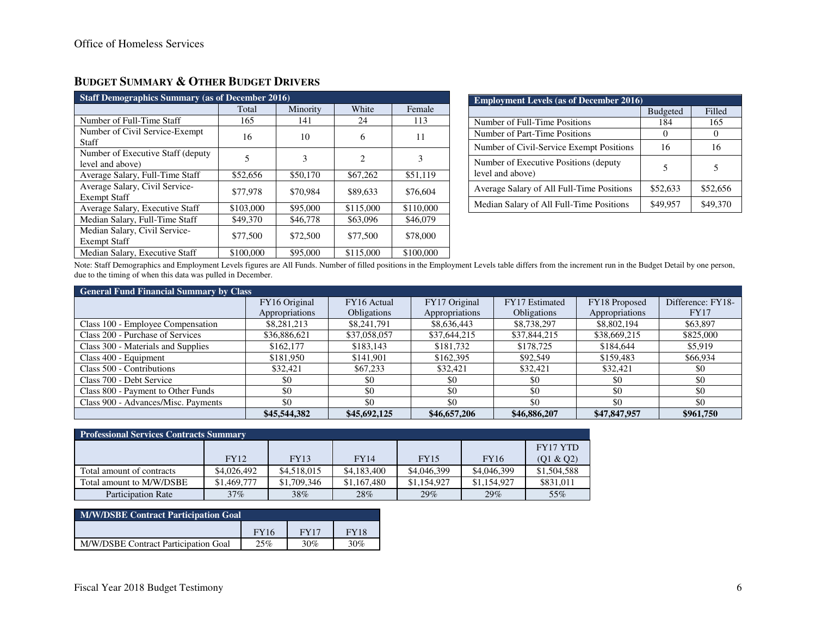| <b>Staff Demographics Summary (as of December 2016)</b> |           |          |                |           |  |  |  |  |  |
|---------------------------------------------------------|-----------|----------|----------------|-----------|--|--|--|--|--|
|                                                         | Total     | Minority |                | Female    |  |  |  |  |  |
| Number of Full-Time Staff                               | 165       | 141      | 24             | 113       |  |  |  |  |  |
| Number of Civil Service-Exempt<br>Staff                 | 16        | 10       | 6              | 11        |  |  |  |  |  |
| Number of Executive Staff (deputy<br>level and above)   | 5         | 3        | $\overline{c}$ | 3         |  |  |  |  |  |
| Average Salary, Full-Time Staff                         | \$52,656  | \$50,170 | \$67,262       | \$51,119  |  |  |  |  |  |
| Average Salary, Civil Service-<br><b>Exempt Staff</b>   | \$77,978  | \$70,984 | \$89,633       | \$76,604  |  |  |  |  |  |
| Average Salary, Executive Staff                         | \$103,000 | \$95,000 | \$115,000      | \$110,000 |  |  |  |  |  |
| Median Salary, Full-Time Staff                          | \$49,370  | \$46,778 | \$63,096       | \$46,079  |  |  |  |  |  |
| Median Salary, Civil Service-<br><b>Exempt Staff</b>    | \$77,500  | \$72,500 | \$77,500       | \$78,000  |  |  |  |  |  |
| Median Salary, Executive Staff                          | \$100,000 | \$95,000 | \$115,000      | \$100,000 |  |  |  |  |  |

# **BUDGET SUMMARY & OTHER BUDGET DRIVERS**

| <b>Employment Levels (as of December 2016)</b>             |                 |          |  |  |  |  |  |
|------------------------------------------------------------|-----------------|----------|--|--|--|--|--|
|                                                            | <b>Budgeted</b> | Filled   |  |  |  |  |  |
| Number of Full-Time Positions                              | 184             | 165      |  |  |  |  |  |
| Number of Part-Time Positions                              | $\mathbf{0}$    |          |  |  |  |  |  |
| Number of Civil-Service Exempt Positions                   | 16              | 16       |  |  |  |  |  |
| Number of Executive Positions (deputy)<br>level and above) | 5               | 5        |  |  |  |  |  |
| Average Salary of All Full-Time Positions                  | \$52,633        | \$52,656 |  |  |  |  |  |
| Median Salary of All Full-Time Positions                   | \$49,957        | \$49.370 |  |  |  |  |  |

Note: Staff Demographics and Employment Levels figures are All Funds. Number of filled positions in the Employment Levels table differs from the increment run in the Budget Detail by one person, due to the timing of when this data was pulled in December.

| <b>General Fund Financial Summary by Class</b> |                |                    |                |                    |                |                   |  |  |  |
|------------------------------------------------|----------------|--------------------|----------------|--------------------|----------------|-------------------|--|--|--|
|                                                | FY16 Original  | FY16 Actual        | FY17 Original  | FY17 Estimated     | FY18 Proposed  | Difference: FY18- |  |  |  |
|                                                | Appropriations | <b>Obligations</b> | Appropriations | <b>Obligations</b> | Appropriations | <b>FY17</b>       |  |  |  |
| Class 100 - Employee Compensation              | \$8,281,213    | \$8,241,791        | \$8,636,443    | \$8,738,297        | \$8,802,194    | \$63,897          |  |  |  |
| Class 200 - Purchase of Services               | \$36,886,621   | \$37,058,057       | \$37,644,215   | \$37,844,215       | \$38,669,215   | \$825,000         |  |  |  |
| Class 300 - Materials and Supplies             | \$162,177      | \$183.143          | \$181,732      | \$178,725          | \$184,644      | \$5,919           |  |  |  |
| Class 400 - Equipment                          | \$181,950      | \$141,901          | \$162,395      | \$92,549           | \$159,483      | \$66,934          |  |  |  |
| Class 500 - Contributions                      | \$32,421       | \$67,233           | \$32,421       | \$32,421           | \$32,421       | \$0               |  |  |  |
| Class 700 - Debt Service                       | \$0            | \$0                | \$0            | \$0                | \$0            | \$0               |  |  |  |
| Class 800 - Payment to Other Funds             | \$0            | \$0                | \$0            | \$0                | \$0            | \$0               |  |  |  |
| Class 900 - Advances/Misc. Payments            | \$0            | \$0                | \$0            | \$0                | \$0            | \$0               |  |  |  |
|                                                | \$45,544,382   | \$45,692,125       | \$46,657,206   | \$46,886,207       | \$47,847,957   | \$961,750         |  |  |  |

| <b>Professional Services Contracts Summary</b> |             |             |             |             |             |             |  |  |  |
|------------------------------------------------|-------------|-------------|-------------|-------------|-------------|-------------|--|--|--|
|                                                |             |             |             |             |             | FY17 YTD    |  |  |  |
|                                                | FY12        | <b>FY13</b> | FY14        | <b>FY15</b> | <b>FY16</b> | (Q1 & Q2)   |  |  |  |
| Total amount of contracts                      | \$4,026,492 | \$4,518,015 | \$4,183,400 | \$4,046,399 | \$4,046,399 | \$1,504,588 |  |  |  |
| Total amount to M/W/DSBE                       | \$1,469,777 | \$1,709,346 | \$1,167,480 | \$1,154,927 | \$1,154,927 | \$831,011   |  |  |  |
| <b>Participation Rate</b>                      | $37\%$      | 38%         | 28%         | 29%         | 29%         | 55%         |  |  |  |

| <b>M/W/DSBE Contract Participation Goal</b> |             |             |     |  |  |  |  |  |
|---------------------------------------------|-------------|-------------|-----|--|--|--|--|--|
|                                             | <b>FY17</b> | <b>FY18</b> |     |  |  |  |  |  |
| M/W/DSBE Contract Participation Goal        | 25%         | 30%         | 30% |  |  |  |  |  |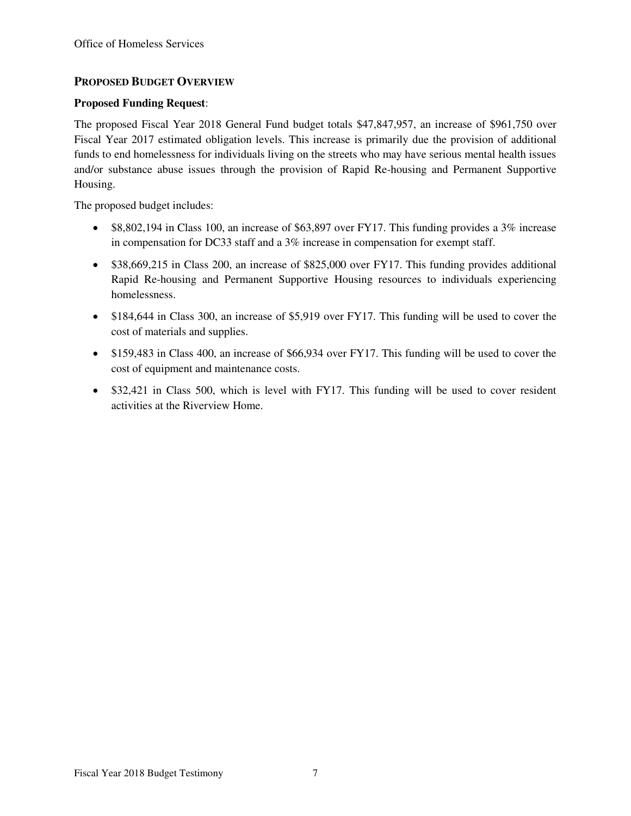# **PROPOSED BUDGET OVERVIEW**

# **Proposed Funding Request**:

The proposed Fiscal Year 2018 General Fund budget totals \$47,847,957, an increase of \$961,750 over Fiscal Year 2017 estimated obligation levels. This increase is primarily due the provision of additional funds to end homelessness for individuals living on the streets who may have serious mental health issues and/or substance abuse issues through the provision of Rapid Re-housing and Permanent Supportive Housing.

The proposed budget includes:

- $\bullet$  \$8,802,194 in Class 100, an increase of \$63,897 over FY17. This funding provides a 3% increase in compensation for DC33 staff and a 3% increase in compensation for exempt staff.
- \$38,669,215 in Class 200, an increase of \$825,000 over FY17. This funding provides additional Rapid Re-housing and Permanent Supportive Housing resources to individuals experiencing homelessness.
- \$184,644 in Class 300, an increase of \$5,919 over FY17. This funding will be used to cover the cost of materials and supplies.
- \$159,483 in Class 400, an increase of \$66,934 over FY17. This funding will be used to cover the cost of equipment and maintenance costs.
- \$32,421 in Class 500, which is level with FY17. This funding will be used to cover resident activities at the Riverview Home.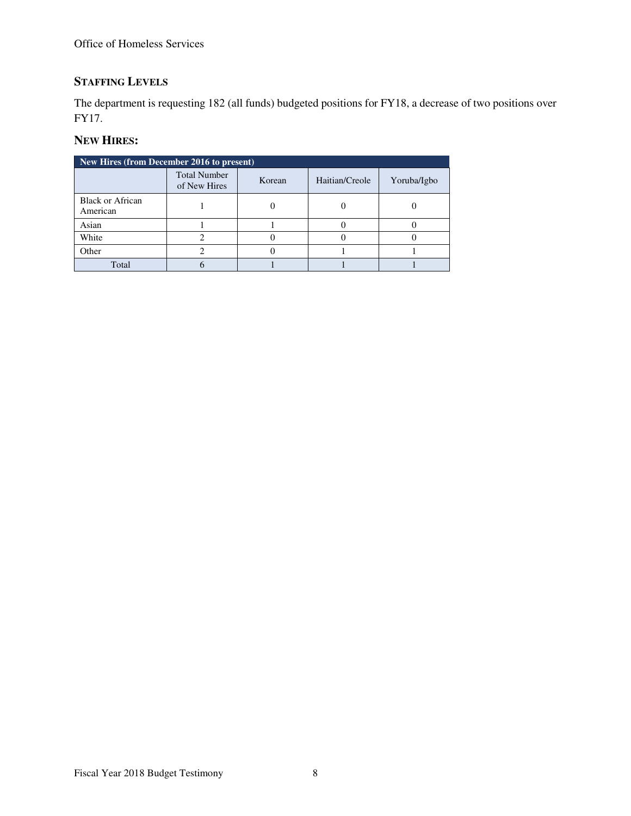# **STAFFING LEVELS**

The department is requesting 182 (all funds) budgeted positions for FY18, a decrease of two positions over FY17.

# **NEW HIRES:**

| New Hires (from December 2016 to present) |                                                                 |  |  |             |  |  |  |  |  |
|-------------------------------------------|-----------------------------------------------------------------|--|--|-------------|--|--|--|--|--|
|                                           | <b>Total Number</b><br>Haitian/Creole<br>Korean<br>of New Hires |  |  | Yoruba/Igbo |  |  |  |  |  |
| <b>Black or African</b><br>American       |                                                                 |  |  |             |  |  |  |  |  |
| Asian                                     |                                                                 |  |  |             |  |  |  |  |  |
| White                                     |                                                                 |  |  |             |  |  |  |  |  |
| Other                                     |                                                                 |  |  |             |  |  |  |  |  |
| Total                                     |                                                                 |  |  |             |  |  |  |  |  |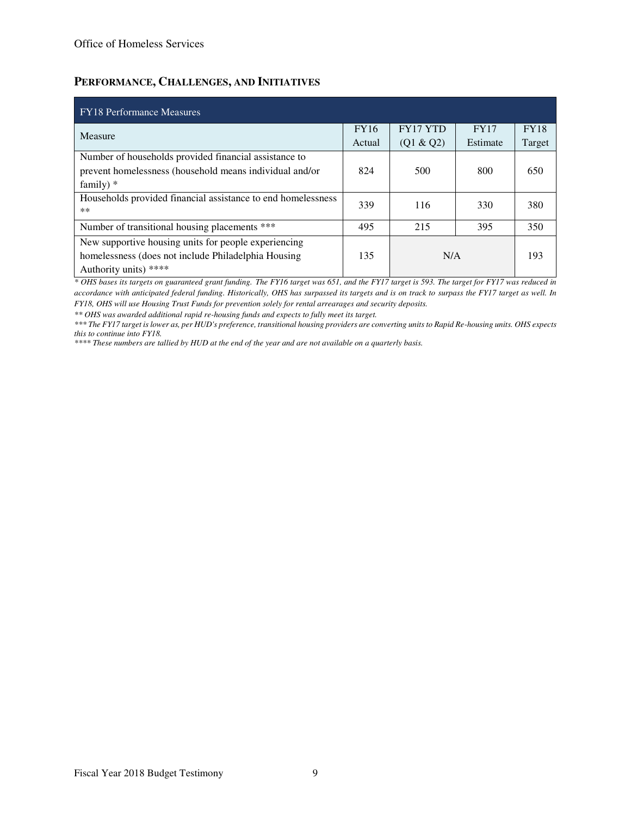# **PERFORMANCE, CHALLENGES, AND INITIATIVES**

| <b>FY18</b> Performance Measures                             |        |                 |             |             |  |  |  |  |  |
|--------------------------------------------------------------|--------|-----------------|-------------|-------------|--|--|--|--|--|
| Measure                                                      |        | <b>FY17 YTD</b> | <b>FY17</b> | <b>FY18</b> |  |  |  |  |  |
|                                                              | Actual | (Q1 & Q2)       | Estimate    | Target      |  |  |  |  |  |
| Number of households provided financial assistance to        |        |                 |             |             |  |  |  |  |  |
| prevent homelessness (household means individual and/or      | 824    | 500             | 800         | 650         |  |  |  |  |  |
| family) $*$                                                  |        |                 |             |             |  |  |  |  |  |
| Households provided financial assistance to end homelessness | 339    | 116             | 330         | 380         |  |  |  |  |  |
| **                                                           |        |                 |             |             |  |  |  |  |  |
| Number of transitional housing placements ***                | 495    | 215             | 395         | 350         |  |  |  |  |  |
| New supportive housing units for people experiencing         |        |                 |             |             |  |  |  |  |  |
| homelessness (does not include Philadelphia Housing)         | 135    | N/A             |             | 193         |  |  |  |  |  |
| Authority units) ****                                        |        |                 |             |             |  |  |  |  |  |

*\* OHS bases its targets on guaranteed grant funding. The FY16 target was 651, and the FY17 target is 593. The target for FY17 was reduced in accordance with anticipated federal funding. Historically, OHS has surpassed its targets and is on track to surpass the FY17 target as well. In FY18, OHS will use Housing Trust Funds for prevention solely for rental arrearages and security deposits.* 

*\*\* OHS was awarded additional rapid re-housing funds and expects to fully meet its target.* 

*\*\*\* The FY17 target is lower as, per HUD's preference, transitional housing providers are converting units to Rapid Re-housing units. OHS expects this to continue into FY18.* 

*\*\*\*\* These numbers are tallied by HUD at the end of the year and are not available on a quarterly basis.*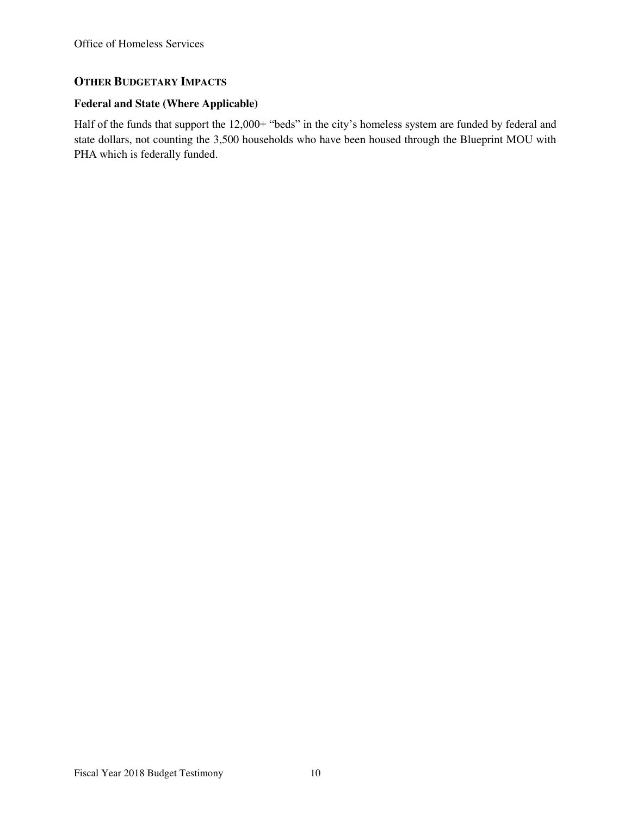# **OTHER BUDGETARY IMPACTS**

# **Federal and State (Where Applicable)**

Half of the funds that support the 12,000+ "beds" in the city's homeless system are funded by federal and state dollars, not counting the 3,500 households who have been housed through the Blueprint MOU with PHA which is federally funded.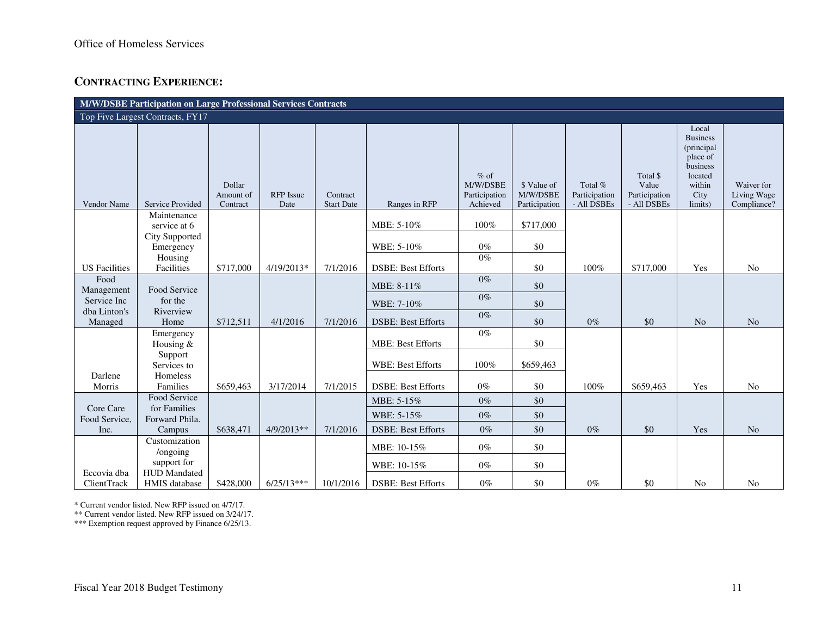# **CONTRACTING EXPERIENCE:**

| <b>M/W/DSBE Participation on Large Professional Services Contracts</b> |                                                    |                                 |                          |                               |                                                      |                                                 |                                          |                                         |                                                   |                                                                                                        |                                          |
|------------------------------------------------------------------------|----------------------------------------------------|---------------------------------|--------------------------|-------------------------------|------------------------------------------------------|-------------------------------------------------|------------------------------------------|-----------------------------------------|---------------------------------------------------|--------------------------------------------------------------------------------------------------------|------------------------------------------|
| Top Five Largest Contracts, FY17                                       |                                                    |                                 |                          |                               |                                                      |                                                 |                                          |                                         |                                                   |                                                                                                        |                                          |
| Vendor Name                                                            | Service Provided                                   | Dollar<br>Amount of<br>Contract | <b>RFP</b> Issue<br>Date | Contract<br><b>Start Date</b> | Ranges in RFP                                        | $%$ of<br>M/W/DSBE<br>Participation<br>Achieved | \$ Value of<br>M/W/DSBE<br>Participation | Total %<br>Participation<br>- All DSBEs | Total \$<br>Value<br>Participation<br>- All DSBEs | Local<br><b>Business</b><br>(principal<br>place of<br>business<br>located<br>within<br>City<br>limits) | Waiver for<br>Living Wage<br>Compliance? |
|                                                                        | Maintenance<br>service at 6                        |                                 |                          |                               | MBE: 5-10%                                           | 100%                                            | \$717,000                                |                                         |                                                   |                                                                                                        |                                          |
|                                                                        | City Supported<br>Emergency<br>Housing             |                                 |                          |                               | WBE: 5-10%                                           | $0\%$<br>$0\%$                                  | \$0                                      |                                         |                                                   |                                                                                                        |                                          |
| <b>US</b> Facilities                                                   | Facilities                                         | \$717,000                       | 4/19/2013*               | 7/1/2016                      | <b>DSBE: Best Efforts</b>                            |                                                 | \$0                                      | 100%                                    | \$717,000                                         | Yes                                                                                                    | No                                       |
| Food<br>Management<br>Service Inc<br>dba Linton's                      | Food Service<br>for the<br>Riverview               |                                 |                          |                               | MBE: 8-11%<br>WBE: 7-10%                             | $0\%$<br>$0\%$                                  | \$0<br>\$0                               |                                         |                                                   |                                                                                                        |                                          |
| Managed                                                                | Home                                               | \$712,511                       | 4/1/2016                 | 7/1/2016                      | <b>DSBE: Best Efforts</b>                            | $0\%$                                           | \$0                                      | $0\%$                                   | \$0                                               | N <sub>o</sub>                                                                                         | N <sub>o</sub>                           |
|                                                                        | Emergency<br>Housing $&$<br>Support<br>Services to |                                 |                          |                               | <b>MBE: Best Efforts</b><br><b>WBE: Best Efforts</b> | $0\%$<br>100%                                   | \$0<br>\$659,463                         |                                         |                                                   |                                                                                                        |                                          |
| Darlene<br>Morris                                                      | <b>Homeless</b><br>Families                        | \$659,463                       | 3/17/2014                | 7/1/2015                      | <b>DSBE: Best Efforts</b>                            | $0\%$                                           | \$0                                      | 100%                                    | \$659,463                                         | Yes                                                                                                    | No                                       |
| Core Care                                                              | Food Service<br>for Families                       |                                 |                          |                               | MBE: 5-15%                                           | $0\%$                                           | \$0                                      |                                         |                                                   |                                                                                                        |                                          |
| Food Service,                                                          | Forward Phila.                                     |                                 |                          |                               | WBE: 5-15%                                           | $0\%$                                           | \$0                                      |                                         |                                                   |                                                                                                        |                                          |
| Inc.                                                                   | Campus                                             | \$638,471                       | $4/9/2013**$             | 7/1/2016                      | <b>DSBE: Best Efforts</b>                            | $0\%$                                           | \$0                                      | $0\%$                                   | \$0                                               | Yes                                                                                                    | N <sub>o</sub>                           |
|                                                                        | Customization<br>/ongoing<br>support for           |                                 |                          |                               | MBE: 10-15%<br>WBE: 10-15%                           | $0\%$<br>$0\%$                                  | \$0<br>\$0                               |                                         |                                                   |                                                                                                        |                                          |
| Eccovia dba<br>ClientTrack                                             | <b>HUD</b> Mandated<br>HMIS database               | \$428,000                       | $6/25/13***$             | 10/1/2016                     | <b>DSBE: Best Efforts</b>                            | $0\%$                                           | \$0                                      | $0\%$                                   | \$0                                               | N <sub>o</sub>                                                                                         | No                                       |

\* Current vendor listed. New RFP issued on 4/7/17.

\*\* Current vendor listed. New RFP issued on 3/24/17.

\*\*\* Exemption request approved by Finance 6/25/13.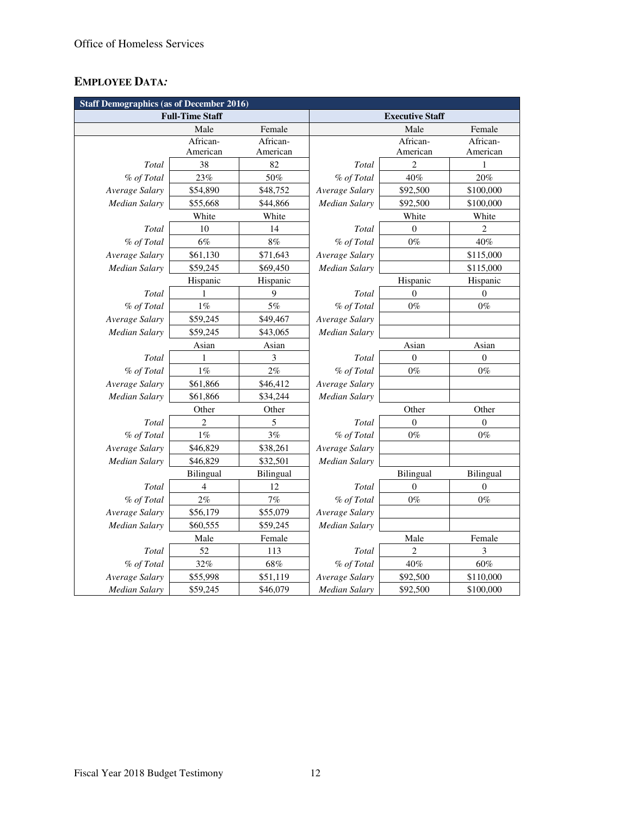# **EMPLOYEE DATA***:*

|                      | <b>Staff Demographics (as of December 2016)</b> |           |                        |                  |                  |  |  |  |  |
|----------------------|-------------------------------------------------|-----------|------------------------|------------------|------------------|--|--|--|--|
|                      | <b>Full-Time Staff</b>                          |           | <b>Executive Staff</b> |                  |                  |  |  |  |  |
|                      | Male                                            | Female    |                        | Male             | Female           |  |  |  |  |
|                      | African-                                        | African-  |                        | African-         | African-         |  |  |  |  |
|                      | American                                        | American  |                        | American         | American         |  |  |  |  |
| Total                | 38                                              | 82        | Total                  | $\overline{c}$   | $\mathbf{1}$     |  |  |  |  |
| % of Total           | 23%                                             | 50%       | % of Total             | 40%              | 20%              |  |  |  |  |
| Average Salary       | \$54,890                                        | \$48,752  | Average Salary         | \$92,500         | \$100,000        |  |  |  |  |
| <b>Median Salary</b> | \$55,668                                        | \$44,866  | Median Salary          | \$92,500         | \$100,000        |  |  |  |  |
|                      | White                                           | White     |                        | White            | White            |  |  |  |  |
| Total                | 10                                              | 14        | Total                  | $\overline{0}$   | $\overline{2}$   |  |  |  |  |
| % of Total           | 6%                                              | 8%        | % of Total             | $0\%$            | 40%              |  |  |  |  |
| Average Salary       | \$61,130                                        | \$71,643  | Average Salary         |                  | \$115,000        |  |  |  |  |
| Median Salary        | \$59,245                                        | \$69,450  | Median Salary          |                  | \$115,000        |  |  |  |  |
|                      | Hispanic                                        | Hispanic  |                        | Hispanic         | Hispanic         |  |  |  |  |
| Total                | 1                                               | 9         | Total                  | $\Omega$         | $\Omega$         |  |  |  |  |
| % of Total           | $1\%$                                           | $5\%$     | % of Total             | $0\%$            | $0\%$            |  |  |  |  |
| Average Salary       | \$59,245                                        | \$49,467  | Average Salary         |                  |                  |  |  |  |  |
| <b>Median Salary</b> | \$59,245<br>\$43,065                            |           | <b>Median Salary</b>   |                  |                  |  |  |  |  |
|                      | Asian<br>Asian                                  |           |                        | Asian            | Asian            |  |  |  |  |
| Total                | 1                                               | 3         | Total                  | $\boldsymbol{0}$ | $\boldsymbol{0}$ |  |  |  |  |
| % of Total           | $1\%$                                           | $2\%$     | % of Total             | $0\%$            | $0\%$            |  |  |  |  |
| Average Salary       | \$61,866                                        | \$46,412  | Average Salary         |                  |                  |  |  |  |  |
| <b>Median Salary</b> | \$61,866                                        | \$34,244  | Median Salary          |                  |                  |  |  |  |  |
|                      | Other                                           | Other     |                        | Other            | Other            |  |  |  |  |
| Total                | $\overline{c}$                                  | 5         | Total                  | $\overline{0}$   | $\overline{0}$   |  |  |  |  |
| % of Total           | $1\%$                                           | $3\%$     | % of Total             | $0\%$            | $0\%$            |  |  |  |  |
| Average Salary       | \$46,829                                        | \$38,261  | Average Salary         |                  |                  |  |  |  |  |
| Median Salary        | \$46,829                                        | \$32,501  | Median Salary          |                  |                  |  |  |  |  |
|                      | Bilingual                                       | Bilingual |                        | Bilingual        | Bilingual        |  |  |  |  |
| Total                | $\overline{4}$                                  | 12        | Total                  | $\theta$         | $\theta$         |  |  |  |  |
| % of Total           | 2%                                              | 7%        | % of Total             | $0\%$            | $0\%$            |  |  |  |  |
| Average Salary       | \$56,179                                        | \$55,079  | Average Salary         |                  |                  |  |  |  |  |
| <b>Median Salary</b> | \$60,555                                        | \$59,245  | <b>Median Salary</b>   |                  |                  |  |  |  |  |
|                      | Male                                            | Female    |                        | Male             | Female           |  |  |  |  |
| Total                | 52                                              | 113       | Total                  | 2                | 3                |  |  |  |  |
| % of Total           | 32%                                             | $68\%$    | % of Total             | 40%              | 60%              |  |  |  |  |
| Average Salary       | \$55,998                                        | \$51,119  | Average Salary         | \$92,500         | \$110,000        |  |  |  |  |
| <b>Median Salary</b> | \$59,245                                        | \$46,079  | <b>Median Salary</b>   | \$92,500         | \$100,000        |  |  |  |  |